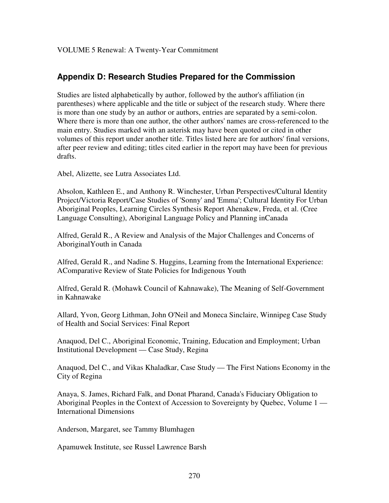## **Appendix D: Research Studies Prepared for the Commission**

Studies are listed alphabetically by author, followed by the author's affiliation (in parentheses) where applicable and the title or subject of the research study. Where there is more than one study by an author or authors, entries are separated by a semi-colon. Where there is more than one author, the other authors' names are cross-referenced to the main entry. Studies marked with an asterisk may have been quoted or cited in other volumes of this report under another title. Titles listed here are for authors' final versions, after peer review and editing; titles cited earlier in the report may have been for previous drafts.

Abel, Alizette, see Lutra Associates Ltd.

Absolon, Kathleen E., and Anthony R. Winchester, Urban Perspectives/Cultural Identity Project/Victoria Report/Case Studies of 'Sonny' and 'Emma'; Cultural Identity For Urban Aboriginal Peoples, Learning Circles Synthesis Report Ahenakew, Freda, et al. (Cree Language Consulting), Aboriginal Language Policy and Planning inCanada

Alfred, Gerald R., A Review and Analysis of the Major Challenges and Concerns of AboriginalYouth in Canada

Alfred, Gerald R., and Nadine S. Huggins, Learning from the International Experience: AComparative Review of State Policies for Indigenous Youth

Alfred, Gerald R. (Mohawk Council of Kahnawake), The Meaning of Self-Government in Kahnawake

Allard, Yvon, Georg Lithman, John O'Neil and Moneca Sinclaire, Winnipeg Case Study of Health and Social Services: Final Report

Anaquod, Del C., Aboriginal Economic, Training, Education and Employment; Urban Institutional Development — Case Study, Regina

Anaquod, Del C., and Vikas Khaladkar, Case Study — The First Nations Economy in the City of Regina

Anaya, S. James, Richard Falk, and Donat Pharand, Canada's Fiduciary Obligation to Aboriginal Peoples in the Context of Accession to Sovereignty by Quebec, Volume 1 — International Dimensions

Anderson, Margaret, see Tammy Blumhagen

Apamuwek Institute, see Russel Lawrence Barsh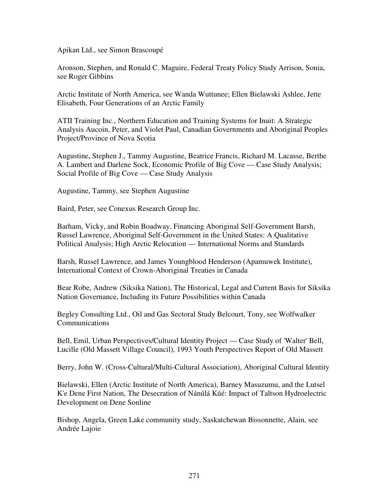Apikan Ltd., see Simon Brascoupé

Aronson, Stephen, and Ronald C. Maguire, Federal Treaty Policy Study Arrison, Sonia, see Roger Gibbins

Arctic Institute of North America, see Wanda Wuttunee; Ellen Bielawski Ashlee, Jette Elisabeth, Four Generations of an Arctic Family

ATII Training Inc., Northern Education and Training Systems for Inuit: A Strategic Analysis Aucoin, Peter, and Violet Paul, Canadian Governments and Aboriginal Peoples Project/Province of Nova Scotia

Augustine, Stephen J., Tammy Augustine, Beatrice Francis, Richard M. Lacasse, Berthe A. Lambert and Darlene Sock, Economic Profile of Big Cove — Case Study Analysis; Social Profile of Big Cove — Case Study Analysis

Augustine, Tammy, see Stephen Augustine

Baird, Peter, see Conexus Research Group Inc.

Barham, Vicky, and Robin Boadway, Financing Aboriginal Self-Government Barsh, Russel Lawrence, Aboriginal Self-Government in the United States: A Qualitative Political Analysis; High Arctic Relocation — International Norms and Standards

Barsh, Russel Lawrence, and James Youngblood Henderson (Apamuwek Institute), International Context of Crown-Aboriginal Treaties in Canada

Bear Robe, Andrew (Siksika Nation), The Historical, Legal and Current Basis for Siksika Nation Governance, Including its Future Possibilities within Canada

Begley Consulting Ltd., Oil and Gas Sectoral Study Belcourt, Tony, see Wolfwalker Communications

Bell, Emil, Urban Perspectives/Cultural Identity Project — Case Study of 'Walter' Bell, Lucille (Old Massett Village Council), 1993 Youth Perspectives Report of Old Massett

Berry, John W. (Cross-Cultural/Multi-Cultural Association), Aboriginal Cultural Identity

Bielawski, Ellen (Arctic Institute of North America), Barney Masuzumu, and the Lutsel K'e Dene First Nation, The Desecration of Nánúlá Kúé: Impact of Taltson Hydroelectric Development on Dene Sonline

Bishop, Angela, Green Lake community study, Saskatchewan Bissonnette, Alain, see Andrée Lajoie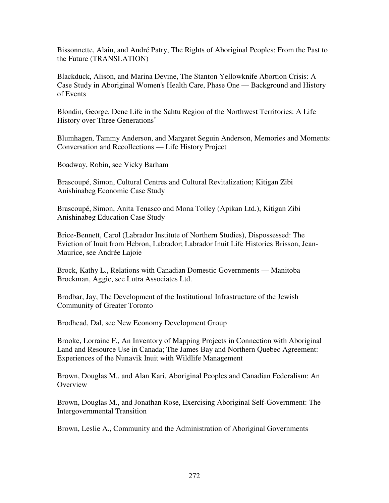Bissonnette, Alain, and André Patry, The Rights of Aboriginal Peoples: From the Past to the Future (TRANSLATION)

Blackduck, Alison, and Marina Devine, The Stanton Yellowknife Abortion Crisis: A Case Study in Aboriginal Women's Health Care, Phase One — Background and History of Events

Blondin, George, Dene Life in the Sahtu Region of the Northwest Territories: A Life History over Three Generations\*

Blumhagen, Tammy Anderson, and Margaret Seguin Anderson, Memories and Moments: Conversation and Recollections — Life History Project

Boadway, Robin, see Vicky Barham

Brascoupé, Simon, Cultural Centres and Cultural Revitalization; Kitigan Zibi Anishinabeg Economic Case Study

Brascoupé, Simon, Anita Tenasco and Mona Tolley (Apikan Ltd.), Kitigan Zibi Anishinabeg Education Case Study

Brice-Bennett, Carol (Labrador Institute of Northern Studies), Dispossessed: The Eviction of Inuit from Hebron, Labrador; Labrador Inuit Life Histories Brisson, Jean-Maurice, see Andrée Lajoie

Brock, Kathy L., Relations with Canadian Domestic Governments — Manitoba Brockman, Aggie, see Lutra Associates Ltd.

Brodbar, Jay, The Development of the Institutional Infrastructure of the Jewish Community of Greater Toronto

Brodhead, Dal, see New Economy Development Group

Brooke, Lorraine F., An Inventory of Mapping Projects in Connection with Aboriginal Land and Resource Use in Canada; The James Bay and Northern Quebec Agreement: Experiences of the Nunavik Inuit with Wildlife Management

Brown, Douglas M., and Alan Kari, Aboriginal Peoples and Canadian Federalism: An **Overview** 

Brown, Douglas M., and Jonathan Rose, Exercising Aboriginal Self-Government: The Intergovernmental Transition

Brown, Leslie A., Community and the Administration of Aboriginal Governments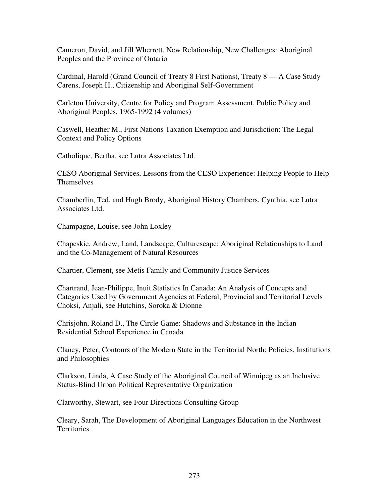Cameron, David, and Jill Wherrett, New Relationship, New Challenges: Aboriginal Peoples and the Province of Ontario

Cardinal, Harold (Grand Council of Treaty 8 First Nations), Treaty 8 — A Case Study Carens, Joseph H., Citizenship and Aboriginal Self-Government

Carleton University, Centre for Policy and Program Assessment, Public Policy and Aboriginal Peoples, 1965-1992 (4 volumes)

Caswell, Heather M., First Nations Taxation Exemption and Jurisdiction: The Legal Context and Policy Options

Catholique, Bertha, see Lutra Associates Ltd.

CESO Aboriginal Services, Lessons from the CESO Experience: Helping People to Help **Themselves** 

Chamberlin, Ted, and Hugh Brody, Aboriginal History Chambers, Cynthia, see Lutra Associates Ltd.

Champagne, Louise, see John Loxley

Chapeskie, Andrew, Land, Landscape, Culturescape: Aboriginal Relationships to Land and the Co-Management of Natural Resources

Chartier, Clement, see Metis Family and Community Justice Services

Chartrand, Jean-Philippe, Inuit Statistics In Canada: An Analysis of Concepts and Categories Used by Government Agencies at Federal, Provincial and Territorial Levels Choksi, Anjali, see Hutchins, Soroka & Dionne

Chrisjohn, Roland D., The Circle Game: Shadows and Substance in the Indian Residential School Experience in Canada

Clancy, Peter, Contours of the Modern State in the Territorial North: Policies, Institutions and Philosophies

Clarkson, Linda, A Case Study of the Aboriginal Council of Winnipeg as an Inclusive Status-Blind Urban Political Representative Organization

Clatworthy, Stewart, see Four Directions Consulting Group

Cleary, Sarah, The Development of Aboriginal Languages Education in the Northwest **Territories**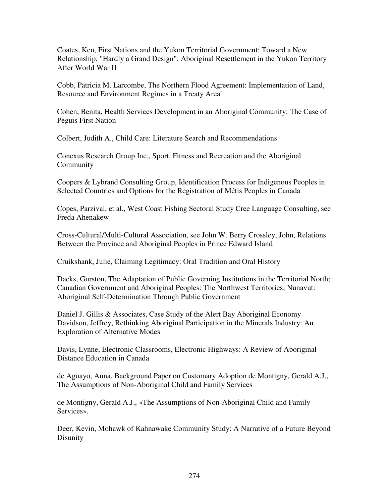Coates, Ken, First Nations and the Yukon Territorial Government: Toward a New Relationship; "Hardly a Grand Design": Aboriginal Resettlement in the Yukon Territory After World War II

Cobb, Patricia M. Larcombe, The Northern Flood Agreement: Implementation of Land, Resource and Environment Regimes in a Treaty Area<sup>\*</sup>

Cohen, Benita, Health Services Development in an Aboriginal Community: The Case of Peguis First Nation

Colbert, Judith A., Child Care: Literature Search and Recommendations

Conexus Research Group Inc., Sport, Fitness and Recreation and the Aboriginal Community

Coopers & Lybrand Consulting Group, Identification Process for Indigenous Peoples in Selected Countries and Options for the Registration of Métis Peoples in Canada

Copes, Parzival, et al., West Coast Fishing Sectoral Study Cree Language Consulting, see Freda Ahenakew

Cross-Cultural/Multi-Cultural Association, see John W. Berry Crossley, John, Relations Between the Province and Aboriginal Peoples in Prince Edward Island

Cruikshank, Julie, Claiming Legitimacy: Oral Tradition and Oral History

Dacks, Gurston, The Adaptation of Public Governing Institutions in the Territorial North; Canadian Government and Aboriginal Peoples: The Northwest Territories; Nunavut: Aboriginal Self-Determination Through Public Government

Daniel J. Gillis & Associates, Case Study of the Alert Bay Aboriginal Economy Davidson, Jeffrey, Rethinking Aboriginal Participation in the Minerals Industry: An Exploration of Alternative Modes

Davis, Lynne, Electronic Classrooms, Electronic Highways: A Review of Aboriginal Distance Education in Canada

de Aguayo, Anna, Background Paper on Customary Adoption de Montigny, Gerald A.J., The Assumptions of Non-Aboriginal Child and Family Services

de Montigny, Gerald A.J., «The Assumptions of Non-Aboriginal Child and Family Services».

Deer, Kevin, Mohawk of Kahnawake Community Study: A Narrative of a Future Beyond Disunity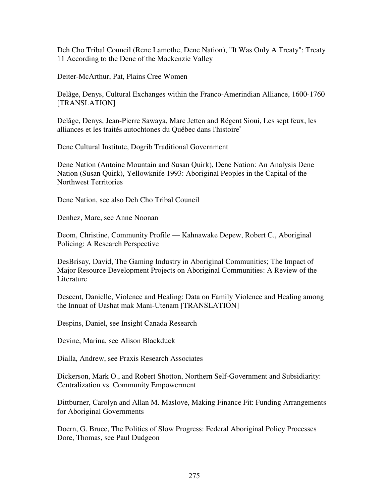Deh Cho Tribal Council (Rene Lamothe, Dene Nation), "It Was Only A Treaty": Treaty 11 According to the Dene of the Mackenzie Valley

Deiter-McArthur, Pat, Plains Cree Women

Delâge, Denys, Cultural Exchanges within the Franco-Amerindian Alliance, 1600-1760 [TRANSLATION]

Delâge, Denys, Jean-Pierre Sawaya, Marc Jetten and Régent Sioui, Les sept feux, les alliances et les traités autochtones du Québec dans l'histoire\*

Dene Cultural Institute, Dogrib Traditional Government

Dene Nation (Antoine Mountain and Susan Quirk), Dene Nation: An Analysis Dene Nation (Susan Quirk), Yellowknife 1993: Aboriginal Peoples in the Capital of the Northwest Territories

Dene Nation, see also Deh Cho Tribal Council

Denhez, Marc, see Anne Noonan

Deom, Christine, Community Profile — Kahnawake Depew, Robert C., Aboriginal Policing: A Research Perspective

DesBrisay, David, The Gaming Industry in Aboriginal Communities; The Impact of Major Resource Development Projects on Aboriginal Communities: A Review of the Literature

Descent, Danielle, Violence and Healing: Data on Family Violence and Healing among the Innuat of Uashat mak Mani-Utenam [TRANSLATION]

Despins, Daniel, see Insight Canada Research

Devine, Marina, see Alison Blackduck

Dialla, Andrew, see Praxis Research Associates

Dickerson, Mark O., and Robert Shotton, Northern Self-Government and Subsidiarity: Centralization vs. Community Empowerment

Dittburner, Carolyn and Allan M. Maslove, Making Finance Fit: Funding Arrangements for Aboriginal Governments

Doern, G. Bruce, The Politics of Slow Progress: Federal Aboriginal Policy Processes Dore, Thomas, see Paul Dudgeon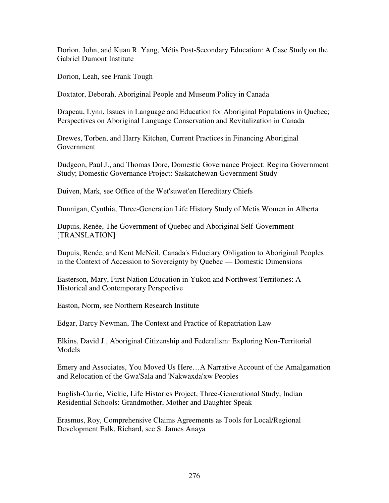Dorion, John, and Kuan R. Yang, Métis Post-Secondary Education: A Case Study on the Gabriel Dumont Institute

Dorion, Leah, see Frank Tough

Doxtator, Deborah, Aboriginal People and Museum Policy in Canada

Drapeau, Lynn, Issues in Language and Education for Aboriginal Populations in Quebec; Perspectives on Aboriginal Language Conservation and Revitalization in Canada

Drewes, Torben, and Harry Kitchen, Current Practices in Financing Aboriginal Government

Dudgeon, Paul J., and Thomas Dore, Domestic Governance Project: Regina Government Study; Domestic Governance Project: Saskatchewan Government Study

Duiven, Mark, see Office of the Wet'suwet'en Hereditary Chiefs

Dunnigan, Cynthia, Three-Generation Life History Study of Metis Women in Alberta

Dupuis, Renée, The Government of Quebec and Aboriginal Self-Government [TRANSLATION]

Dupuis, Renée, and Kent McNeil, Canada's Fiduciary Obligation to Aboriginal Peoples in the Context of Accession to Sovereignty by Quebec — Domestic Dimensions

Easterson, Mary, First Nation Education in Yukon and Northwest Territories: A Historical and Contemporary Perspective

Easton, Norm, see Northern Research Institute

Edgar, Darcy Newman, The Context and Practice of Repatriation Law

Elkins, David J., Aboriginal Citizenship and Federalism: Exploring Non-Territorial Models

Emery and Associates, You Moved Us Here…A Narrative Account of the Amalgamation and Relocation of the Gwa'Sala and 'Nakwaxda'xw Peoples

English-Currie, Vickie, Life Histories Project, Three-Generational Study, Indian Residential Schools: Grandmother, Mother and Daughter Speak

Erasmus, Roy, Comprehensive Claims Agreements as Tools for Local/Regional Development Falk, Richard, see S. James Anaya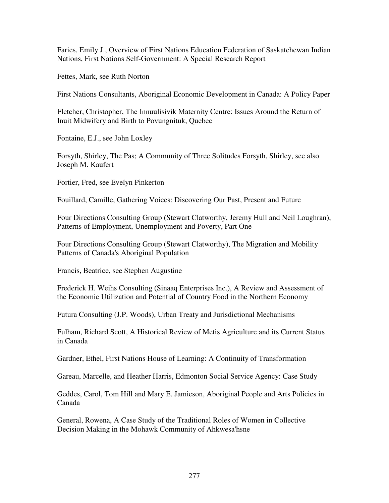Faries, Emily J., Overview of First Nations Education Federation of Saskatchewan Indian Nations, First Nations Self-Government: A Special Research Report

Fettes, Mark, see Ruth Norton

First Nations Consultants, Aboriginal Economic Development in Canada: A Policy Paper

Fletcher, Christopher, The Innuulisivik Maternity Centre: Issues Around the Return of Inuit Midwifery and Birth to Povungnituk, Quebec

Fontaine, E.J., see John Loxley

Forsyth, Shirley, The Pas; A Community of Three Solitudes Forsyth, Shirley, see also Joseph M. Kaufert

Fortier, Fred, see Evelyn Pinkerton

Fouillard, Camille, Gathering Voices: Discovering Our Past, Present and Future

Four Directions Consulting Group (Stewart Clatworthy, Jeremy Hull and Neil Loughran), Patterns of Employment, Unemployment and Poverty, Part One

Four Directions Consulting Group (Stewart Clatworthy), The Migration and Mobility Patterns of Canada's Aboriginal Population

Francis, Beatrice, see Stephen Augustine

Frederick H. Weihs Consulting (Sinaaq Enterprises Inc.), A Review and Assessment of the Economic Utilization and Potential of Country Food in the Northern Economy

Futura Consulting (J.P. Woods), Urban Treaty and Jurisdictional Mechanisms

Fulham, Richard Scott, A Historical Review of Metis Agriculture and its Current Status in Canada

Gardner, Ethel, First Nations House of Learning: A Continuity of Transformation

Gareau, Marcelle, and Heather Harris, Edmonton Social Service Agency: Case Study

Geddes, Carol, Tom Hill and Mary E. Jamieson, Aboriginal People and Arts Policies in Canada

General, Rowena, A Case Study of the Traditional Roles of Women in Collective Decision Making in the Mohawk Community of Ahkwesa'hsne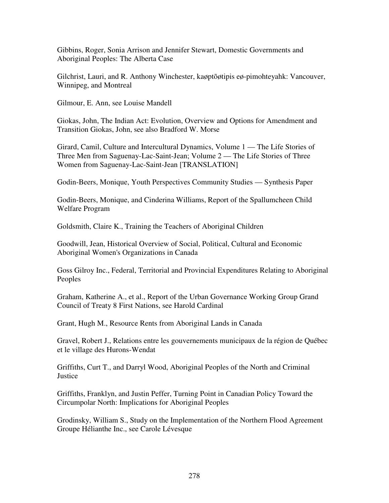Gibbins, Roger, Sonia Arrison and Jennifer Stewart, Domestic Governments and Aboriginal Peoples: The Alberta Case

Gilchrist, Lauri, and R. Anthony Winchester, kaøptõøtipis eø-pimohteyahk: Vancouver, Winnipeg, and Montreal

Gilmour, E. Ann, see Louise Mandell

Giokas, John, The Indian Act: Evolution, Overview and Options for Amendment and Transition Giokas, John, see also Bradford W. Morse

Girard, Camil, Culture and Intercultural Dynamics, Volume 1 — The Life Stories of Three Men from Saguenay-Lac-Saint-Jean; Volume 2 — The Life Stories of Three Women from Saguenay-Lac-Saint-Jean [TRANSLATION]

Godin-Beers, Monique, Youth Perspectives Community Studies — Synthesis Paper

Godin-Beers, Monique, and Cinderina Williams, Report of the Spallumcheen Child Welfare Program

Goldsmith, Claire K., Training the Teachers of Aboriginal Children

Goodwill, Jean, Historical Overview of Social, Political, Cultural and Economic Aboriginal Women's Organizations in Canada

Goss Gilroy Inc., Federal, Territorial and Provincial Expenditures Relating to Aboriginal Peoples

Graham, Katherine A., et al., Report of the Urban Governance Working Group Grand Council of Treaty 8 First Nations, see Harold Cardinal

Grant, Hugh M., Resource Rents from Aboriginal Lands in Canada

Gravel, Robert J., Relations entre les gouvernements municipaux de la région de Québec et le village des Hurons-Wendat

Griffiths, Curt T., and Darryl Wood, Aboriginal Peoples of the North and Criminal **Justice** 

Griffiths, Franklyn, and Justin Peffer, Turning Point in Canadian Policy Toward the Circumpolar North: Implications for Aboriginal Peoples

Grodinsky, William S., Study on the Implementation of the Northern Flood Agreement Groupe Hélianthe Inc., see Carole Lévesque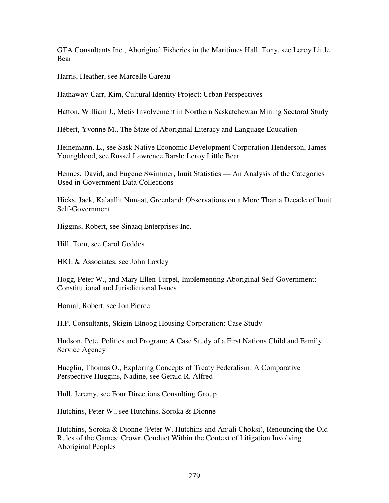GTA Consultants Inc., Aboriginal Fisheries in the Maritimes Hall, Tony, see Leroy Little Bear

Harris, Heather, see Marcelle Gareau

Hathaway-Carr, Kim, Cultural Identity Project: Urban Perspectives

Hatton, William J., Metis Involvement in Northern Saskatchewan Mining Sectoral Study

Hébert, Yvonne M., The State of Aboriginal Literacy and Language Education

Heinemann, L., see Sask Native Economic Development Corporation Henderson, James Youngblood, see Russel Lawrence Barsh; Leroy Little Bear

Hennes, David, and Eugene Swimmer, Inuit Statistics — An Analysis of the Categories Used in Government Data Collections

Hicks, Jack, Kalaallit Nunaat, Greenland: Observations on a More Than a Decade of Inuit Self-Government

Higgins, Robert, see Sinaaq Enterprises Inc.

Hill, Tom, see Carol Geddes

HKL & Associates, see John Loxley

Hogg, Peter W., and Mary Ellen Turpel, Implementing Aboriginal Self-Government: Constitutional and Jurisdictional Issues

Hornal, Robert, see Jon Pierce

H.P. Consultants, Skigin-Elnoog Housing Corporation: Case Study

Hudson, Pete, Politics and Program: A Case Study of a First Nations Child and Family Service Agency

Hueglin, Thomas O., Exploring Concepts of Treaty Federalism: A Comparative Perspective Huggins, Nadine, see Gerald R. Alfred

Hull, Jeremy, see Four Directions Consulting Group

Hutchins, Peter W., see Hutchins, Soroka & Dionne

Hutchins, Soroka & Dionne (Peter W. Hutchins and Anjali Choksi), Renouncing the Old Rules of the Games: Crown Conduct Within the Context of Litigation Involving Aboriginal Peoples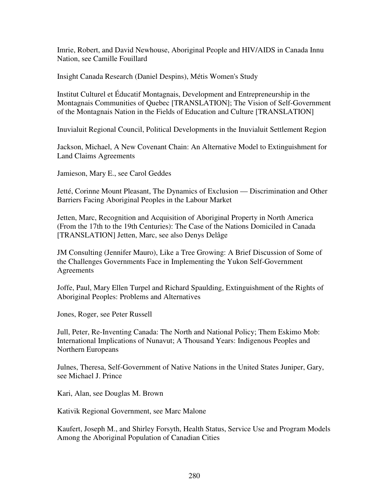Imrie, Robert, and David Newhouse, Aboriginal People and HIV/AIDS in Canada Innu Nation, see Camille Fouillard

Insight Canada Research (Daniel Despins), Métis Women's Study

Institut Culturel et Éducatif Montagnais, Development and Entrepreneurship in the Montagnais Communities of Quebec [TRANSLATION]; The Vision of Self-Government of the Montagnais Nation in the Fields of Education and Culture [TRANSLATION]

Inuvialuit Regional Council, Political Developments in the Inuvialuit Settlement Region

Jackson, Michael, A New Covenant Chain: An Alternative Model to Extinguishment for Land Claims Agreements

Jamieson, Mary E., see Carol Geddes

Jetté, Corinne Mount Pleasant, The Dynamics of Exclusion — Discrimination and Other Barriers Facing Aboriginal Peoples in the Labour Market

Jetten, Marc, Recognition and Acquisition of Aboriginal Property in North America (From the 17th to the 19th Centuries): The Case of the Nations Domiciled in Canada [TRANSLATION] Jetten, Marc, see also Denys Delâge

JM Consulting (Jennifer Mauro), Like a Tree Growing: A Brief Discussion of Some of the Challenges Governments Face in Implementing the Yukon Self-Government Agreements

Joffe, Paul, Mary Ellen Turpel and Richard Spaulding, Extinguishment of the Rights of Aboriginal Peoples: Problems and Alternatives

Jones, Roger, see Peter Russell

Jull, Peter, Re-Inventing Canada: The North and National Policy; Them Eskimo Mob: International Implications of Nunavut; A Thousand Years: Indigenous Peoples and Northern Europeans

Julnes, Theresa, Self-Government of Native Nations in the United States Juniper, Gary, see Michael J. Prince

Kari, Alan, see Douglas M. Brown

Kativik Regional Government, see Marc Malone

Kaufert, Joseph M., and Shirley Forsyth, Health Status, Service Use and Program Models Among the Aboriginal Population of Canadian Cities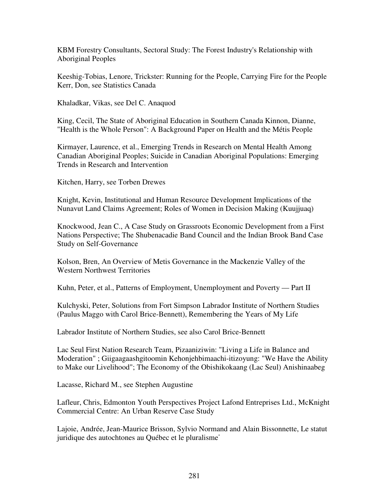KBM Forestry Consultants, Sectoral Study: The Forest Industry's Relationship with Aboriginal Peoples

Keeshig-Tobias, Lenore, Trickster: Running for the People, Carrying Fire for the People Kerr, Don, see Statistics Canada

Khaladkar, Vikas, see Del C. Anaquod

King, Cecil, The State of Aboriginal Education in Southern Canada Kinnon, Dianne, "Health is the Whole Person": A Background Paper on Health and the Métis People

Kirmayer, Laurence, et al., Emerging Trends in Research on Mental Health Among Canadian Aboriginal Peoples; Suicide in Canadian Aboriginal Populations: Emerging Trends in Research and Intervention

Kitchen, Harry, see Torben Drewes

Knight, Kevin, Institutional and Human Resource Development Implications of the Nunavut Land Claims Agreement; Roles of Women in Decision Making (Kuujjuaq)

Knockwood, Jean C., A Case Study on Grassroots Economic Development from a First Nations Perspective; The Shubenacadie Band Council and the Indian Brook Band Case Study on Self-Governance

Kolson, Bren, An Overview of Metis Governance in the Mackenzie Valley of the Western Northwest Territories

Kuhn, Peter, et al., Patterns of Employment, Unemployment and Poverty — Part II

Kulchyski, Peter, Solutions from Fort Simpson Labrador Institute of Northern Studies (Paulus Maggo with Carol Brice-Bennett), Remembering the Years of My Life

Labrador Institute of Northern Studies, see also Carol Brice-Bennett

Lac Seul First Nation Research Team, Pizaaniziwin: "Living a Life in Balance and Moderation" ; Giigaagaashgitoomin Kehonjehbimaachi-itizoyung: "We Have the Ability to Make our Livelihood"; The Economy of the Obishikokaang (Lac Seul) Anishinaabeg

Lacasse, Richard M., see Stephen Augustine

Lafleur, Chris, Edmonton Youth Perspectives Project Lafond Entreprises Ltd., McKnight Commercial Centre: An Urban Reserve Case Study

Lajoie, Andrée, Jean-Maurice Brisson, Sylvio Normand and Alain Bissonnette, Le statut juridique des autochtones au Québec et le pluralisme\*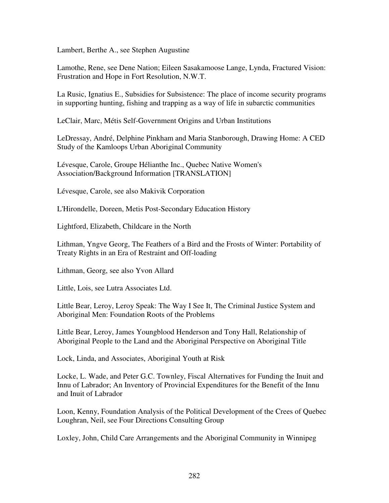Lambert, Berthe A., see Stephen Augustine

Lamothe, Rene, see Dene Nation; Eileen Sasakamoose Lange, Lynda, Fractured Vision: Frustration and Hope in Fort Resolution, N.W.T.

La Rusic, Ignatius E., Subsidies for Subsistence: The place of income security programs in supporting hunting, fishing and trapping as a way of life in subarctic communities

LeClair, Marc, Métis Self-Government Origins and Urban Institutions

LeDressay, André, Delphine Pinkham and Maria Stanborough, Drawing Home: A CED Study of the Kamloops Urban Aboriginal Community

Lévesque, Carole, Groupe Hélianthe Inc., Quebec Native Women's Association/Background Information [TRANSLATION]

Lévesque, Carole, see also Makivik Corporation

L'Hirondelle, Doreen, Metis Post-Secondary Education History

Lightford, Elizabeth, Childcare in the North

Lithman, Yngve Georg, The Feathers of a Bird and the Frosts of Winter: Portability of Treaty Rights in an Era of Restraint and Off-loading

Lithman, Georg, see also Yvon Allard

Little, Lois, see Lutra Associates Ltd.

Little Bear, Leroy, Leroy Speak: The Way I See It, The Criminal Justice System and Aboriginal Men: Foundation Roots of the Problems

Little Bear, Leroy, James Youngblood Henderson and Tony Hall, Relationship of Aboriginal People to the Land and the Aboriginal Perspective on Aboriginal Title

Lock, Linda, and Associates, Aboriginal Youth at Risk

Locke, L. Wade, and Peter G.C. Townley, Fiscal Alternatives for Funding the Inuit and Innu of Labrador; An Inventory of Provincial Expenditures for the Benefit of the Innu and Inuit of Labrador

Loon, Kenny, Foundation Analysis of the Political Development of the Crees of Quebec Loughran, Neil, see Four Directions Consulting Group

Loxley, John, Child Care Arrangements and the Aboriginal Community in Winnipeg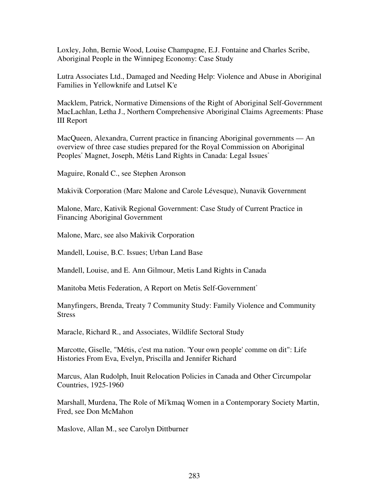Loxley, John, Bernie Wood, Louise Champagne, E.J. Fontaine and Charles Scribe, Aboriginal People in the Winnipeg Economy: Case Study

Lutra Associates Ltd., Damaged and Needing Help: Violence and Abuse in Aboriginal Families in Yellowknife and Lutsel K'e

Macklem, Patrick, Normative Dimensions of the Right of Aboriginal Self-Government MacLachlan, Letha J., Northern Comprehensive Aboriginal Claims Agreements: Phase III Report

MacQueen, Alexandra, Current practice in financing Aboriginal governments — An overview of three case studies prepared for the Royal Commission on Aboriginal Peoples<sup>\*</sup> Magnet, Joseph, Métis Land Rights in Canada: Legal Issues<sup>\*</sup>

Maguire, Ronald C., see Stephen Aronson

Makivik Corporation (Marc Malone and Carole Lévesque), Nunavik Government

Malone, Marc, Kativik Regional Government: Case Study of Current Practice in Financing Aboriginal Government

Malone, Marc, see also Makivik Corporation

Mandell, Louise, B.C. Issues; Urban Land Base

Mandell, Louise, and E. Ann Gilmour, Metis Land Rights in Canada

Manitoba Metis Federation, A Report on Metis Self-Government\*

Manyfingers, Brenda, Treaty 7 Community Study: Family Violence and Community **Stress** 

Maracle, Richard R., and Associates, Wildlife Sectoral Study

Marcotte, Giselle, "Métis, c'est ma nation. 'Your own people' comme on dit": Life Histories From Eva, Evelyn, Priscilla and Jennifer Richard

Marcus, Alan Rudolph, Inuit Relocation Policies in Canada and Other Circumpolar Countries, 1925-1960

Marshall, Murdena, The Role of Mi'kmaq Women in a Contemporary Society Martin, Fred, see Don McMahon

Maslove, Allan M., see Carolyn Dittburner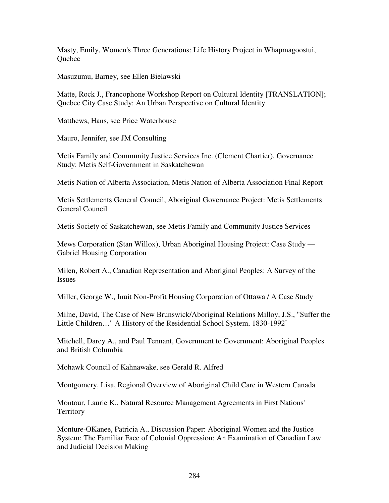Masty, Emily, Women's Three Generations: Life History Project in Whapmagoostui, Quebec

Masuzumu, Barney, see Ellen Bielawski

Matte, Rock J., Francophone Workshop Report on Cultural Identity [TRANSLATION]; Quebec City Case Study: An Urban Perspective on Cultural Identity

Matthews, Hans, see Price Waterhouse

Mauro, Jennifer, see JM Consulting

Metis Family and Community Justice Services Inc. (Clement Chartier), Governance Study: Metis Self-Government in Saskatchewan

Metis Nation of Alberta Association, Metis Nation of Alberta Association Final Report

Metis Settlements General Council, Aboriginal Governance Project: Metis Settlements General Council

Metis Society of Saskatchewan, see Metis Family and Community Justice Services

Mews Corporation (Stan Willox), Urban Aboriginal Housing Project: Case Study — Gabriel Housing Corporation

Milen, Robert A., Canadian Representation and Aboriginal Peoples: A Survey of the Issues

Miller, George W., Inuit Non-Profit Housing Corporation of Ottawa / A Case Study

Milne, David, The Case of New Brunswick/Aboriginal Relations Milloy, J.S., "Suffer the Little Children..." A History of the Residential School System, 1830-1992<sup>\*</sup>

Mitchell, Darcy A., and Paul Tennant, Government to Government: Aboriginal Peoples and British Columbia

Mohawk Council of Kahnawake, see Gerald R. Alfred

Montgomery, Lisa, Regional Overview of Aboriginal Child Care in Western Canada

Montour, Laurie K., Natural Resource Management Agreements in First Nations' **Territory** 

Monture-OKanee, Patricia A., Discussion Paper: Aboriginal Women and the Justice System; The Familiar Face of Colonial Oppression: An Examination of Canadian Law and Judicial Decision Making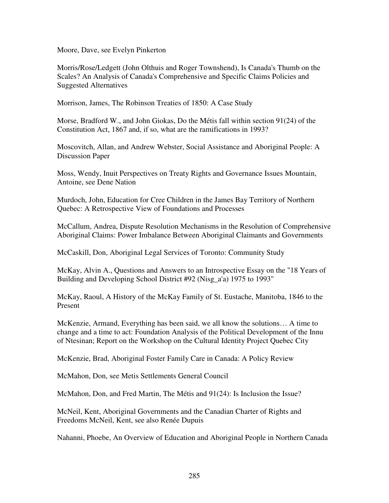Moore, Dave, see Evelyn Pinkerton

Morris/Rose/Ledgett (John Olthuis and Roger Townshend), Is Canada's Thumb on the Scales? An Analysis of Canada's Comprehensive and Specific Claims Policies and Suggested Alternatives

Morrison, James, The Robinson Treaties of 1850: A Case Study

Morse, Bradford W., and John Giokas, Do the Métis fall within section 91(24) of the Constitution Act, 1867 and, if so, what are the ramifications in 1993?

Moscovitch, Allan, and Andrew Webster, Social Assistance and Aboriginal People: A Discussion Paper

Moss, Wendy, Inuit Perspectives on Treaty Rights and Governance Issues Mountain, Antoine, see Dene Nation

Murdoch, John, Education for Cree Children in the James Bay Territory of Northern Quebec: A Retrospective View of Foundations and Processes

McCallum, Andrea, Dispute Resolution Mechanisms in the Resolution of Comprehensive Aboriginal Claims: Power Imbalance Between Aboriginal Claimants and Governments

McCaskill, Don, Aboriginal Legal Services of Toronto: Community Study

McKay, Alvin A., Questions and Answers to an Introspective Essay on the "18 Years of Building and Developing School District #92 (Nisg\_a'a) 1975 to 1993"

McKay, Raoul, A History of the McKay Family of St. Eustache, Manitoba, 1846 to the Present

McKenzie, Armand, Everything has been said, we all know the solutions… A time to change and a time to act: Foundation Analysis of the Political Development of the Innu of Ntesinan; Report on the Workshop on the Cultural Identity Project Quebec City

McKenzie, Brad, Aboriginal Foster Family Care in Canada: A Policy Review

McMahon, Don, see Metis Settlements General Council

McMahon, Don, and Fred Martin, The Métis and 91(24): Is Inclusion the Issue?

McNeil, Kent, Aboriginal Governments and the Canadian Charter of Rights and Freedoms McNeil, Kent, see also Renée Dupuis

Nahanni, Phoebe, An Overview of Education and Aboriginal People in Northern Canada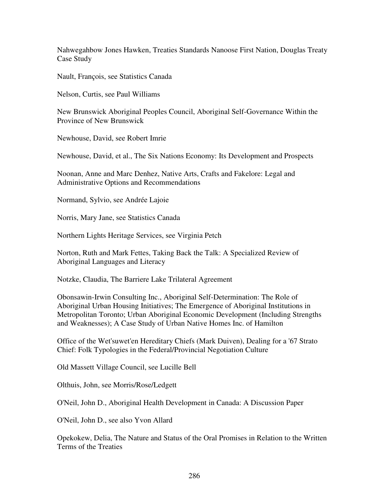Nahwegahbow Jones Hawken, Treaties Standards Nanoose First Nation, Douglas Treaty Case Study

Nault, François, see Statistics Canada

Nelson, Curtis, see Paul Williams

New Brunswick Aboriginal Peoples Council, Aboriginal Self-Governance Within the Province of New Brunswick

Newhouse, David, see Robert Imrie

Newhouse, David, et al., The Six Nations Economy: Its Development and Prospects

Noonan, Anne and Marc Denhez, Native Arts, Crafts and Fakelore: Legal and Administrative Options and Recommendations

Normand, Sylvio, see Andrée Lajoie

Norris, Mary Jane, see Statistics Canada

Northern Lights Heritage Services, see Virginia Petch

Norton, Ruth and Mark Fettes, Taking Back the Talk: A Specialized Review of Aboriginal Languages and Literacy

Notzke, Claudia, The Barriere Lake Trilateral Agreement

Obonsawin-Irwin Consulting Inc., Aboriginal Self-Determination: The Role of Aboriginal Urban Housing Initiatives; The Emergence of Aboriginal Institutions in Metropolitan Toronto; Urban Aboriginal Economic Development (Including Strengths and Weaknesses); A Case Study of Urban Native Homes Inc. of Hamilton

Office of the Wet'suwet'en Hereditary Chiefs (Mark Duiven), Dealing for a '67 Strato Chief: Folk Typologies in the Federal/Provincial Negotiation Culture

Old Massett Village Council, see Lucille Bell

Olthuis, John, see Morris/Rose/Ledgett

O'Neil, John D., Aboriginal Health Development in Canada: A Discussion Paper

O'Neil, John D., see also Yvon Allard

Opekokew, Delia, The Nature and Status of the Oral Promises in Relation to the Written Terms of the Treaties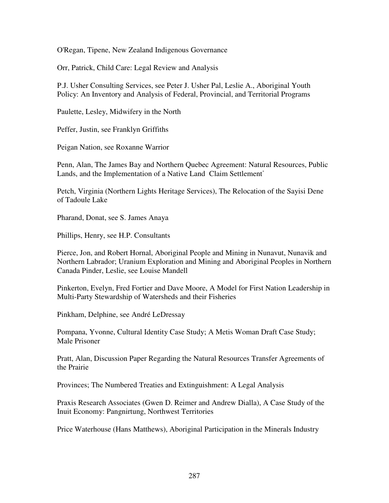O'Regan, Tipene, New Zealand Indigenous Governance

Orr, Patrick, Child Care: Legal Review and Analysis

P.J. Usher Consulting Services, see Peter J. Usher Pal, Leslie A., Aboriginal Youth Policy: An Inventory and Analysis of Federal, Provincial, and Territorial Programs

Paulette, Lesley, Midwifery in the North

Peffer, Justin, see Franklyn Griffiths

Peigan Nation, see Roxanne Warrior

Penn, Alan, The James Bay and Northern Quebec Agreement: Natural Resources, Public Lands, and the Implementation of a Native Land Claim Settlement\*

Petch, Virginia (Northern Lights Heritage Services), The Relocation of the Sayisi Dene of Tadoule Lake

Pharand, Donat, see S. James Anaya

Phillips, Henry, see H.P. Consultants

Pierce, Jon, and Robert Hornal, Aboriginal People and Mining in Nunavut, Nunavik and Northern Labrador; Uranium Exploration and Mining and Aboriginal Peoples in Northern Canada Pinder, Leslie, see Louise Mandell

Pinkerton, Evelyn, Fred Fortier and Dave Moore, A Model for First Nation Leadership in Multi-Party Stewardship of Watersheds and their Fisheries

Pinkham, Delphine, see André LeDressay

Pompana, Yvonne, Cultural Identity Case Study; A Metis Woman Draft Case Study; Male Prisoner

Pratt, Alan, Discussion Paper Regarding the Natural Resources Transfer Agreements of the Prairie

Provinces; The Numbered Treaties and Extinguishment: A Legal Analysis

Praxis Research Associates (Gwen D. Reimer and Andrew Dialla), A Case Study of the Inuit Economy: Pangnirtung, Northwest Territories

Price Waterhouse (Hans Matthews), Aboriginal Participation in the Minerals Industry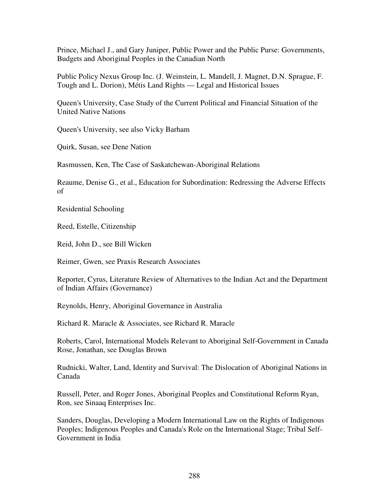Prince, Michael J., and Gary Juniper, Public Power and the Public Purse: Governments, Budgets and Aboriginal Peoples in the Canadian North

Public Policy Nexus Group Inc. (J. Weinstein, L. Mandell, J. Magnet, D.N. Sprague, F. Tough and L. Dorion), Métis Land Rights — Legal and Historical Issues

Queen's University, Case Study of the Current Political and Financial Situation of the United Native Nations

Queen's University, see also Vicky Barham

Quirk, Susan, see Dene Nation

Rasmussen, Ken, The Case of Saskatchewan-Aboriginal Relations

Reaume, Denise G., et al., Education for Subordination: Redressing the Adverse Effects of

Residential Schooling

Reed, Estelle, Citizenship

Reid, John D., see Bill Wicken

Reimer, Gwen, see Praxis Research Associates

Reporter, Cyrus, Literature Review of Alternatives to the Indian Act and the Department of Indian Affairs (Governance)

Reynolds, Henry, Aboriginal Governance in Australia

Richard R. Maracle & Associates, see Richard R. Maracle

Roberts, Carol, International Models Relevant to Aboriginal Self-Government in Canada Rose, Jonathan, see Douglas Brown

Rudnicki, Walter, Land, Identity and Survival: The Dislocation of Aboriginal Nations in Canada

Russell, Peter, and Roger Jones, Aboriginal Peoples and Constitutional Reform Ryan, Ron, see Sinaaq Enterprises Inc.

Sanders, Douglas, Developing a Modern International Law on the Rights of Indigenous Peoples; Indigenous Peoples and Canada's Role on the International Stage; Tribal Self-Government in India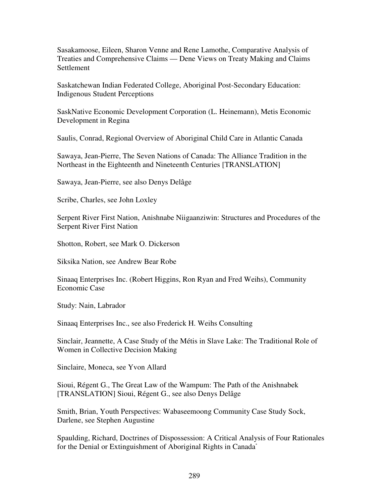Sasakamoose, Eileen, Sharon Venne and Rene Lamothe, Comparative Analysis of Treaties and Comprehensive Claims — Dene Views on Treaty Making and Claims Settlement

Saskatchewan Indian Federated College, Aboriginal Post-Secondary Education: Indigenous Student Perceptions

SaskNative Economic Development Corporation (L. Heinemann), Metis Economic Development in Regina

Saulis, Conrad, Regional Overview of Aboriginal Child Care in Atlantic Canada

Sawaya, Jean-Pierre, The Seven Nations of Canada: The Alliance Tradition in the Northeast in the Eighteenth and Nineteenth Centuries [TRANSLATION]

Sawaya, Jean-Pierre, see also Denys Delâge

Scribe, Charles, see John Loxley

Serpent River First Nation, Anishnabe Niigaanziwin: Structures and Procedures of the Serpent River First Nation

Shotton, Robert, see Mark O. Dickerson

Siksika Nation, see Andrew Bear Robe

Sinaaq Enterprises Inc. (Robert Higgins, Ron Ryan and Fred Weihs), Community Economic Case

Study: Nain, Labrador

Sinaaq Enterprises Inc., see also Frederick H. Weihs Consulting

Sinclair, Jeannette, A Case Study of the Métis in Slave Lake: The Traditional Role of Women in Collective Decision Making

Sinclaire, Moneca, see Yvon Allard

Sioui, Régent G., The Great Law of the Wampum: The Path of the Anishnabek [TRANSLATION] Sioui, Régent G., see also Denys Delâge

Smith, Brian, Youth Perspectives: Wabaseemoong Community Case Study Sock, Darlene, see Stephen Augustine

Spaulding, Richard, Doctrines of Dispossession: A Critical Analysis of Four Rationales for the Denial or Extinguishment of Aboriginal Rights in Canada\*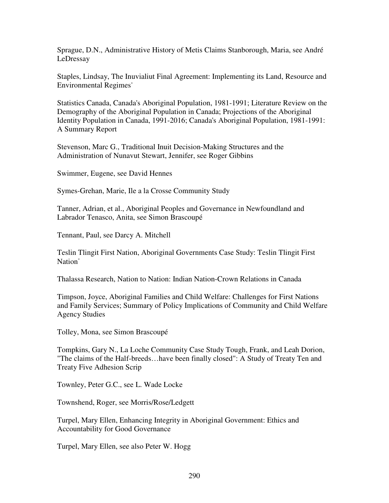Sprague, D.N., Administrative History of Metis Claims Stanborough, Maria, see André LeDressay

Staples, Lindsay, The Inuvialiut Final Agreement: Implementing its Land, Resource and Environmental Regimes\*

Statistics Canada, Canada's Aboriginal Population, 1981-1991; Literature Review on the Demography of the Aboriginal Population in Canada; Projections of the Aboriginal Identity Population in Canada, 1991-2016; Canada's Aboriginal Population, 1981-1991: A Summary Report

Stevenson, Marc G., Traditional Inuit Decision-Making Structures and the Administration of Nunavut Stewart, Jennifer, see Roger Gibbins

Swimmer, Eugene, see David Hennes

Symes-Grehan, Marie, Ile a la Crosse Community Study

Tanner, Adrian, et al., Aboriginal Peoples and Governance in Newfoundland and Labrador Tenasco, Anita, see Simon Brascoupé

Tennant, Paul, see Darcy A. Mitchell

Teslin Tlingit First Nation, Aboriginal Governments Case Study: Teslin Tlingit First Nation<sup>\*</sup>

Thalassa Research, Nation to Nation: Indian Nation-Crown Relations in Canada

Timpson, Joyce, Aboriginal Families and Child Welfare: Challenges for First Nations and Family Services; Summary of Policy Implications of Community and Child Welfare Agency Studies

Tolley, Mona, see Simon Brascoupé

Tompkins, Gary N., La Loche Community Case Study Tough, Frank, and Leah Dorion, "The claims of the Half-breeds…have been finally closed": A Study of Treaty Ten and Treaty Five Adhesion Scrip

Townley, Peter G.C., see L. Wade Locke

Townshend, Roger, see Morris/Rose/Ledgett

Turpel, Mary Ellen, Enhancing Integrity in Aboriginal Government: Ethics and Accountability for Good Governance

Turpel, Mary Ellen, see also Peter W. Hogg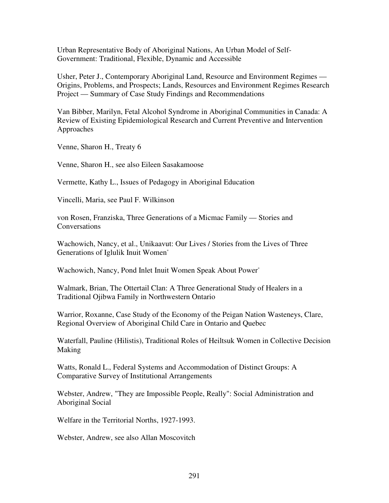Urban Representative Body of Aboriginal Nations, An Urban Model of Self-Government: Traditional, Flexible, Dynamic and Accessible

Usher, Peter J., Contemporary Aboriginal Land, Resource and Environment Regimes — Origins, Problems, and Prospects; Lands, Resources and Environment Regimes Research Project — Summary of Case Study Findings and Recommendations

Van Bibber, Marilyn, Fetal Alcohol Syndrome in Aboriginal Communities in Canada: A Review of Existing Epidemiological Research and Current Preventive and Intervention Approaches

Venne, Sharon H., Treaty 6

Venne, Sharon H., see also Eileen Sasakamoose

Vermette, Kathy L., Issues of Pedagogy in Aboriginal Education

Vincelli, Maria, see Paul F. Wilkinson

von Rosen, Franziska, Three Generations of a Micmac Family — Stories and **Conversations** 

Wachowich, Nancy, et al., Unikaavut: Our Lives / Stories from the Lives of Three Generations of Iglulik Inuit Women\*

Wachowich, Nancy, Pond Inlet Inuit Women Speak About Power\*

Walmark, Brian, The Ottertail Clan: A Three Generational Study of Healers in a Traditional Ojibwa Family in Northwestern Ontario

Warrior, Roxanne, Case Study of the Economy of the Peigan Nation Wasteneys, Clare, Regional Overview of Aboriginal Child Care in Ontario and Quebec

Waterfall, Pauline (Hilistis), Traditional Roles of Heiltsuk Women in Collective Decision Making

Watts, Ronald L., Federal Systems and Accommodation of Distinct Groups: A Comparative Survey of Institutional Arrangements

Webster, Andrew, "They are Impossible People, Really": Social Administration and Aboriginal Social

Welfare in the Territorial Norths, 1927-1993.

Webster, Andrew, see also Allan Moscovitch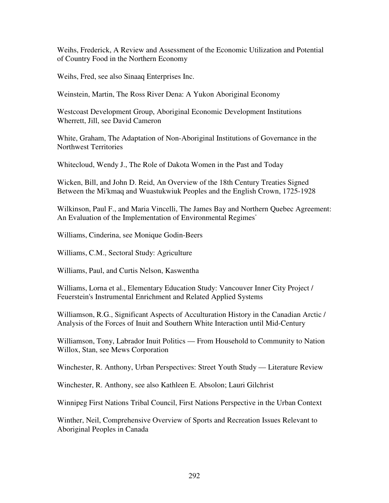Weihs, Frederick, A Review and Assessment of the Economic Utilization and Potential of Country Food in the Northern Economy

Weihs, Fred, see also Sinaaq Enterprises Inc.

Weinstein, Martin, The Ross River Dena: A Yukon Aboriginal Economy

Westcoast Development Group, Aboriginal Economic Development Institutions Wherrett, Jill, see David Cameron

White, Graham, The Adaptation of Non-Aboriginal Institutions of Governance in the Northwest Territories

Whitecloud, Wendy J., The Role of Dakota Women in the Past and Today

Wicken, Bill, and John D. Reid, An Overview of the 18th Century Treaties Signed Between the Mi'kmaq and Wuastukwiuk Peoples and the English Crown, 1725-1928

Wilkinson, Paul F., and Maria Vincelli, The James Bay and Northern Quebec Agreement: An Evaluation of the Implementation of Environmental Regimes\*

Williams, Cinderina, see Monique Godin-Beers

Williams, C.M., Sectoral Study: Agriculture

Williams, Paul, and Curtis Nelson, Kaswentha

Williams, Lorna et al., Elementary Education Study: Vancouver Inner City Project / Feuerstein's Instrumental Enrichment and Related Applied Systems

Williamson, R.G., Significant Aspects of Acculturation History in the Canadian Arctic / Analysis of the Forces of Inuit and Southern White Interaction until Mid-Century

Williamson, Tony, Labrador Inuit Politics — From Household to Community to Nation Willox, Stan, see Mews Corporation

Winchester, R. Anthony, Urban Perspectives: Street Youth Study — Literature Review

Winchester, R. Anthony, see also Kathleen E. Absolon; Lauri Gilchrist

Winnipeg First Nations Tribal Council, First Nations Perspective in the Urban Context

Winther, Neil, Comprehensive Overview of Sports and Recreation Issues Relevant to Aboriginal Peoples in Canada